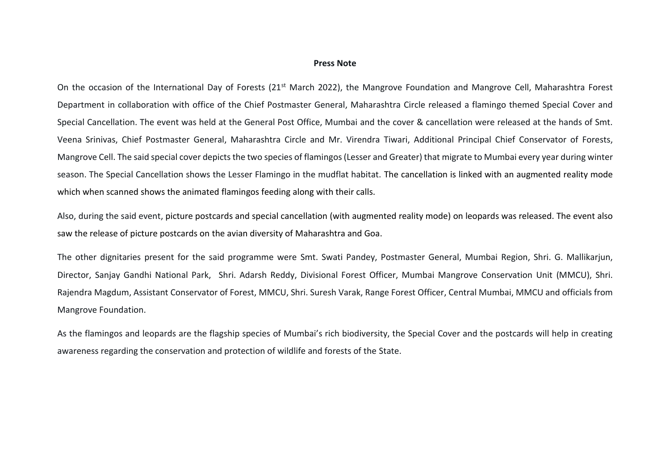## **Press Note**

On the occasion of the International Day of Forests (21<sup>st</sup> March 2022), the Mangrove Foundation and Mangrove Cell, Maharashtra Forest Department in collaboration with office of the Chief Postmaster General, Maharashtra Circle released a flamingo themed Special Cover and Special Cancellation. The event was held at the General Post Office, Mumbai and the cover & cancellation were released at the hands of Smt. Veena Srinivas, Chief Postmaster General, Maharashtra Circle and Mr. Virendra Tiwari, Additional Principal Chief Conservator of Forests, Mangrove Cell. The said special cover depicts the two species of flamingos (Lesser and Greater) that migrate to Mumbai every year during winter season. The Special Cancellation shows the Lesser Flamingo in the mudflat habitat. The cancellation is linked with an augmented reality mode which when scanned shows the animated flamingos feeding along with their calls.

Also, during the said event, picture postcards and special cancellation (with augmented reality mode) on leopards was released. The event also saw the release of picture postcards on the avian diversity of Maharashtra and Goa.

The other dignitaries present for the said programme were Smt. Swati Pandey, Postmaster General, Mumbai Region, Shri. G. Mallikarjun, Director, Sanjay Gandhi National Park, Shri. Adarsh Reddy, Divisional Forest Officer, Mumbai Mangrove Conservation Unit (MMCU), Shri. Rajendra Magdum, Assistant Conservator of Forest, MMCU, Shri. Suresh Varak, Range Forest Officer, Central Mumbai, MMCU and officials from Mangrove Foundation.

As the flamingos and leopards are the flagship species of Mumbai's rich biodiversity, the Special Cover and the postcards will help in creating awareness regarding the conservation and protection of wildlife and forests of the State.